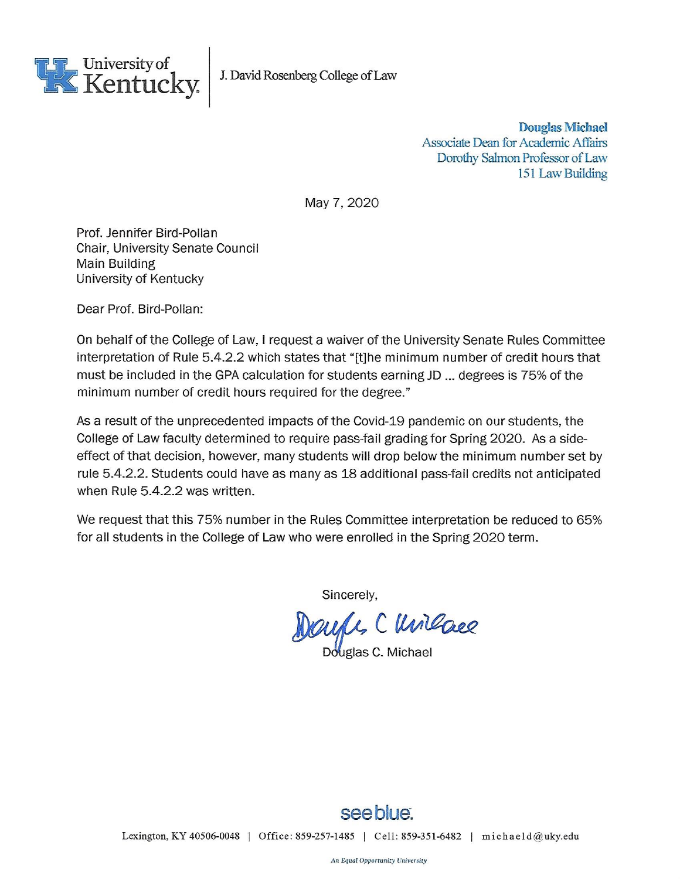

**Douglas Michael** Associate Dean for Academic Affairs Dorothy Salmon Professor of Law 151 Law Building

May 7, 2020

Prof. Jennifer Bird-Pollan Chair, University Senate Council Main Building University of Kentucky

Dear Prof. Bird-Pollan:

On behalf of the College of Law, I request a waiver of the University Senate Rules Committee interpretation of Rule 5.4.2.2 which states that "[t]he minimum number of credit hours that must be included in the GPA calculation for students earning JD ... degrees is 75% of the minimum number of credit hours required for the degree."

As a result of the unprecedented impacts of the Covid-19 pandemic on our students, the College of Law faculty determined to require pass-fail grading for Spring 2020. As a sideeffect of that decision, however, many students will drop below the minimum number set by rule 5.4.2.2. Students could have as many as 18 additional pass-fail credits not anticipated when Rule 5.4.2.2 was written.

We request that this 75% number in the Rules Committee interpretation be reduced to 65% for all students in the College of Law who were enrolled in the Spring 2020 term.

Sincerely,

Daufe, Clinlace

Douglas C. Michael



Lexington, KY 40506-0048 | Office: 859-257-1485 | Cell: 859-351-6482 | michaeld@uky.edu

An Equal Opportunity University